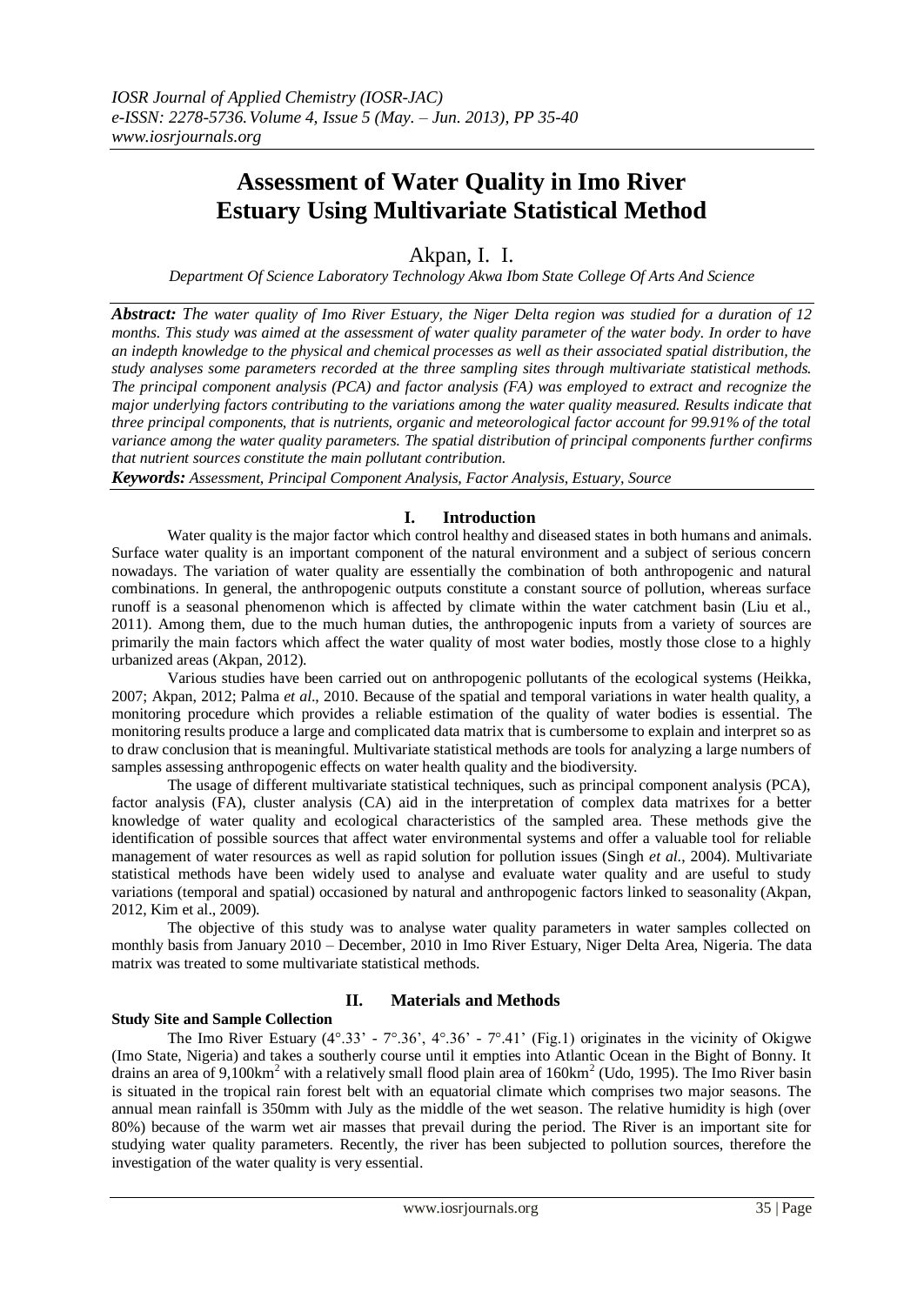# **Assessment of Water Quality in Imo River Estuary Using Multivariate Statistical Method**

Akpan, I. I.

*Department Of Science Laboratory Technology Akwa Ibom State College Of Arts And Science*

*Abstract: The water quality of Imo River Estuary, the Niger Delta region was studied for a duration of 12 months. This study was aimed at the assessment of water quality parameter of the water body. In order to have an indepth knowledge to the physical and chemical processes as well as their associated spatial distribution, the study analyses some parameters recorded at the three sampling sites through multivariate statistical methods. The principal component analysis (PCA) and factor analysis (FA) was employed to extract and recognize the major underlying factors contributing to the variations among the water quality measured. Results indicate that three principal components, that is nutrients, organic and meteorological factor account for 99.91% of the total variance among the water quality parameters. The spatial distribution of principal components further confirms that nutrient sources constitute the main pollutant contribution.*

*Keywords: Assessment, Principal Component Analysis, Factor Analysis, Estuary, Source*

## **I. Introduction**

Water quality is the major factor which control healthy and diseased states in both humans and animals. Surface water quality is an important component of the natural environment and a subject of serious concern nowadays. The variation of water quality are essentially the combination of both anthropogenic and natural combinations. In general, the anthropogenic outputs constitute a constant source of pollution, whereas surface runoff is a seasonal phenomenon which is affected by climate within the water catchment basin (Liu et al., 2011). Among them, due to the much human duties, the anthropogenic inputs from a variety of sources are primarily the main factors which affect the water quality of most water bodies, mostly those close to a highly urbanized areas (Akpan, 2012).

Various studies have been carried out on anthropogenic pollutants of the ecological systems (Heikka, 2007; Akpan, 2012; Palma *et al*., 2010. Because of the spatial and temporal variations in water health quality, a monitoring procedure which provides a reliable estimation of the quality of water bodies is essential. The monitoring results produce a large and complicated data matrix that is cumbersome to explain and interpret so as to draw conclusion that is meaningful. Multivariate statistical methods are tools for analyzing a large numbers of samples assessing anthropogenic effects on water health quality and the biodiversity.

The usage of different multivariate statistical techniques, such as principal component analysis (PCA), factor analysis (FA), cluster analysis (CA) aid in the interpretation of complex data matrixes for a better knowledge of water quality and ecological characteristics of the sampled area. These methods give the identification of possible sources that affect water environmental systems and offer a valuable tool for reliable management of water resources as well as rapid solution for pollution issues (Singh *et al*., 2004). Multivariate statistical methods have been widely used to analyse and evaluate water quality and are useful to study variations (temporal and spatial) occasioned by natural and anthropogenic factors linked to seasonality (Akpan, 2012, Kim et al., 2009).

The objective of this study was to analyse water quality parameters in water samples collected on monthly basis from January 2010 – December, 2010 in Imo River Estuary, Niger Delta Area, Nigeria. The data matrix was treated to some multivariate statistical methods.

# **Study Site and Sample Collection**

### **II. Materials and Methods**

The Imo River Estuary  $(4^{\circ}.33^{\circ} - 7^{\circ}.36^{\circ}, 4^{\circ}.36^{\circ} - 7^{\circ}.41^{\circ}$  (Fig.1) originates in the vicinity of Okigwe (Imo State, Nigeria) and takes a southerly course until it empties into Atlantic Ocean in the Bight of Bonny. It drains an area of 9,100km<sup>2</sup> with a relatively small flood plain area of  $160 \text{km}^2$  (Udo, 1995). The Imo River basin is situated in the tropical rain forest belt with an equatorial climate which comprises two major seasons. The annual mean rainfall is 350mm with July as the middle of the wet season. The relative humidity is high (over 80%) because of the warm wet air masses that prevail during the period. The River is an important site for studying water quality parameters. Recently, the river has been subjected to pollution sources, therefore the investigation of the water quality is very essential.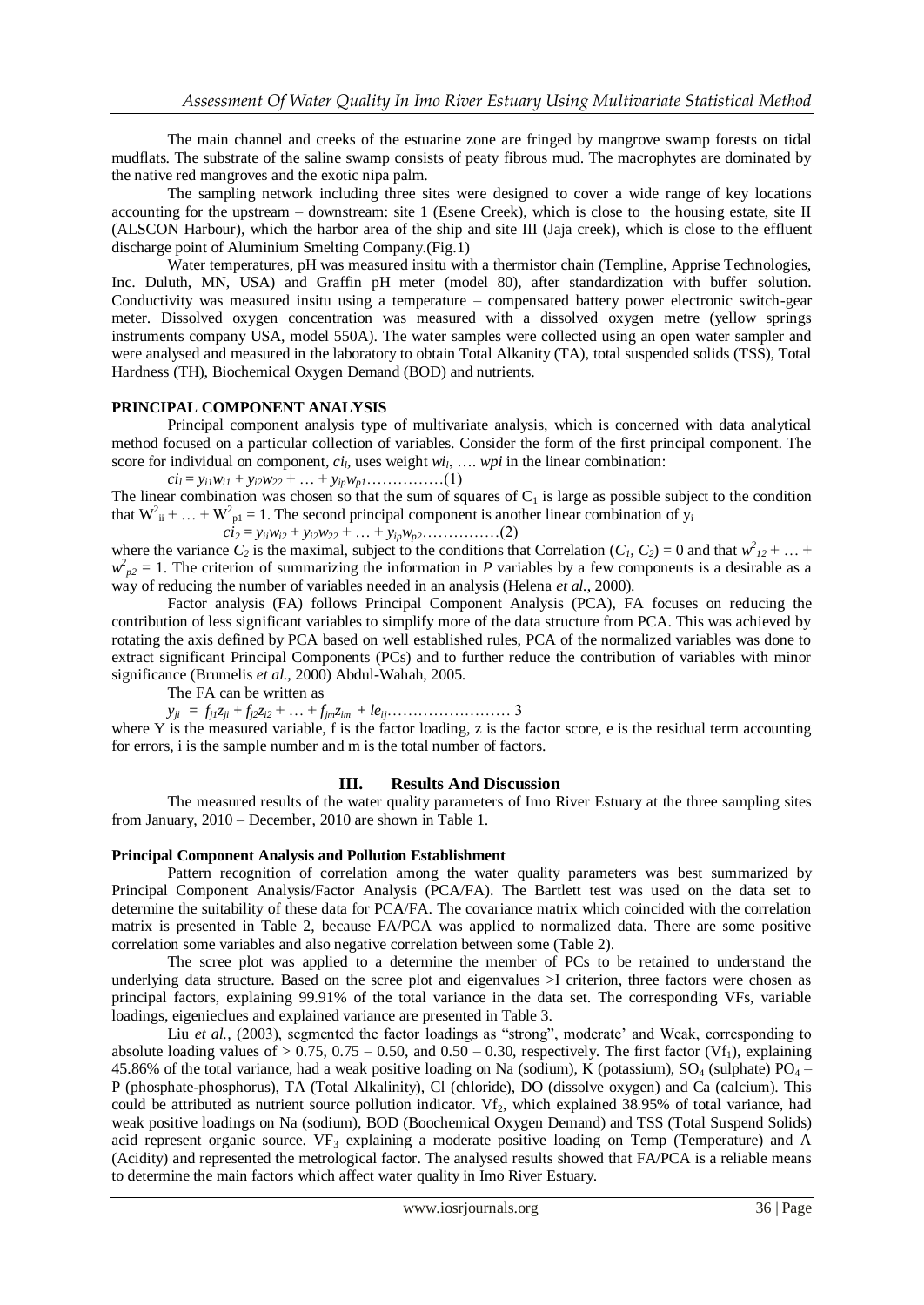The main channel and creeks of the estuarine zone are fringed by mangrove swamp forests on tidal mudflats. The substrate of the saline swamp consists of peaty fibrous mud. The macrophytes are dominated by the native red mangroves and the exotic nipa palm.

The sampling network including three sites were designed to cover a wide range of key locations accounting for the upstream – downstream: site 1 (Esene Creek), which is close to the housing estate, site II (ALSCON Harbour), which the harbor area of the ship and site III (Jaja creek), which is close to the effluent discharge point of Aluminium Smelting Company.(Fig.1)

Water temperatures, pH was measured insitu with a thermistor chain (Templine, Apprise Technologies, Inc. Duluth, MN, USA) and Graffin pH meter (model 80), after standardization with buffer solution. Conductivity was measured insitu using a temperature – compensated battery power electronic switch-gear meter. Dissolved oxygen concentration was measured with a dissolved oxygen metre (yellow springs instruments company USA, model 550A). The water samples were collected using an open water sampler and were analysed and measured in the laboratory to obtain Total Alkanity (TA), total suspended solids (TSS), Total Hardness (TH), Biochemical Oxygen Demand (BOD) and nutrients.

#### **PRINCIPAL COMPONENT ANALYSIS**

Principal component analysis type of multivariate analysis, which is concerned with data analytical method focused on a particular collection of variables. Consider the form of the first principal component. The score for individual on component,  $ci<sub>b</sub>$  uses weight  $wi<sub>l</sub>$ , ..., wpi in the linear combination:

 $ci_l = y_{il}w_{il} + y_{i2}w_{22} + \ldots + y_{ip}w_{p1} + \ldots$  (1)

The linear combination was chosen so that the sum of squares of  $C_1$  is large as possible subject to the condition that  $W_{ii}^2 + ... + W_{pl}^2 = 1$ . The second principal component is another linear combination of y<sub>i</sub>

 $ci_2 = y_{ii}w_{i2} + y_{i2}w_{22} + \ldots + y_{ip}w_{p2} \ldots \ldots \ldots \ldots$  (2)

where the variance  $C_2$  is the maximal, subject to the conditions that Correlation  $(C_1, C_2) = 0$  and that  $w^2_{12} + ...$  $w_{p2}^2 = 1$ . The criterion of summarizing the information in *P* variables by a few components is a desirable as a way of reducing the number of variables needed in an analysis (Helena *et al.*, 2000).

Factor analysis (FA) follows Principal Component Analysis (PCA), FA focuses on reducing the contribution of less significant variables to simplify more of the data structure from PCA. This was achieved by rotating the axis defined by PCA based on well established rules, PCA of the normalized variables was done to extract significant Principal Components (PCs) and to further reduce the contribution of variables with minor significance (Brumelis *et al.,* 2000) Abdul-Wahah, 2005.

The FA can be written as

*yji* = *fj1zji* + *fj2zi2* + … + *fjmzim* + *leij*…………………… 3

where Y is the measured variable, f is the factor loading, z is the factor score, e is the residual term accounting for errors, i is the sample number and m is the total number of factors.

#### **III. Results And Discussion**

The measured results of the water quality parameters of Imo River Estuary at the three sampling sites from January, 2010 – December, 2010 are shown in Table 1.

#### **Principal Component Analysis and Pollution Establishment**

Pattern recognition of correlation among the water quality parameters was best summarized by Principal Component Analysis/Factor Analysis (PCA/FA). The Bartlett test was used on the data set to determine the suitability of these data for PCA/FA. The covariance matrix which coincided with the correlation matrix is presented in Table 2, because FA/PCA was applied to normalized data. There are some positive correlation some variables and also negative correlation between some (Table 2).

The scree plot was applied to a determine the member of PCs to be retained to understand the underlying data structure. Based on the scree plot and eigenvalues >I criterion, three factors were chosen as principal factors, explaining 99.91% of the total variance in the data set. The corresponding VFs, variable loadings, eigenieclues and explained variance are presented in Table 3.

Liu *et al.*, (2003), segmented the factor loadings as "strong", moderate' and Weak, corresponding to absolute loading values of  $> 0.75$ ,  $0.75 - 0.50$ , and  $0.50 - 0.30$ , respectively. The first factor (Vf<sub>1</sub>), explaining 45.86% of the total variance, had a weak positive loading on Na (sodium), K (potassium),  $SO_4$  (sulphate)  $PO_4$  – P (phosphate-phosphorus), TA (Total Alkalinity), Cl (chloride), DO (dissolve oxygen) and Ca (calcium). This could be attributed as nutrient source pollution indicator.  $Vf_2$ , which explained 38.95% of total variance, had weak positive loadings on Na (sodium), BOD (Boochemical Oxygen Demand) and TSS (Total Suspend Solids) acid represent organic source. VF<sub>3</sub> explaining a moderate positive loading on Temp (Temperature) and A (Acidity) and represented the metrological factor. The analysed results showed that FA/PCA is a reliable means to determine the main factors which affect water quality in Imo River Estuary.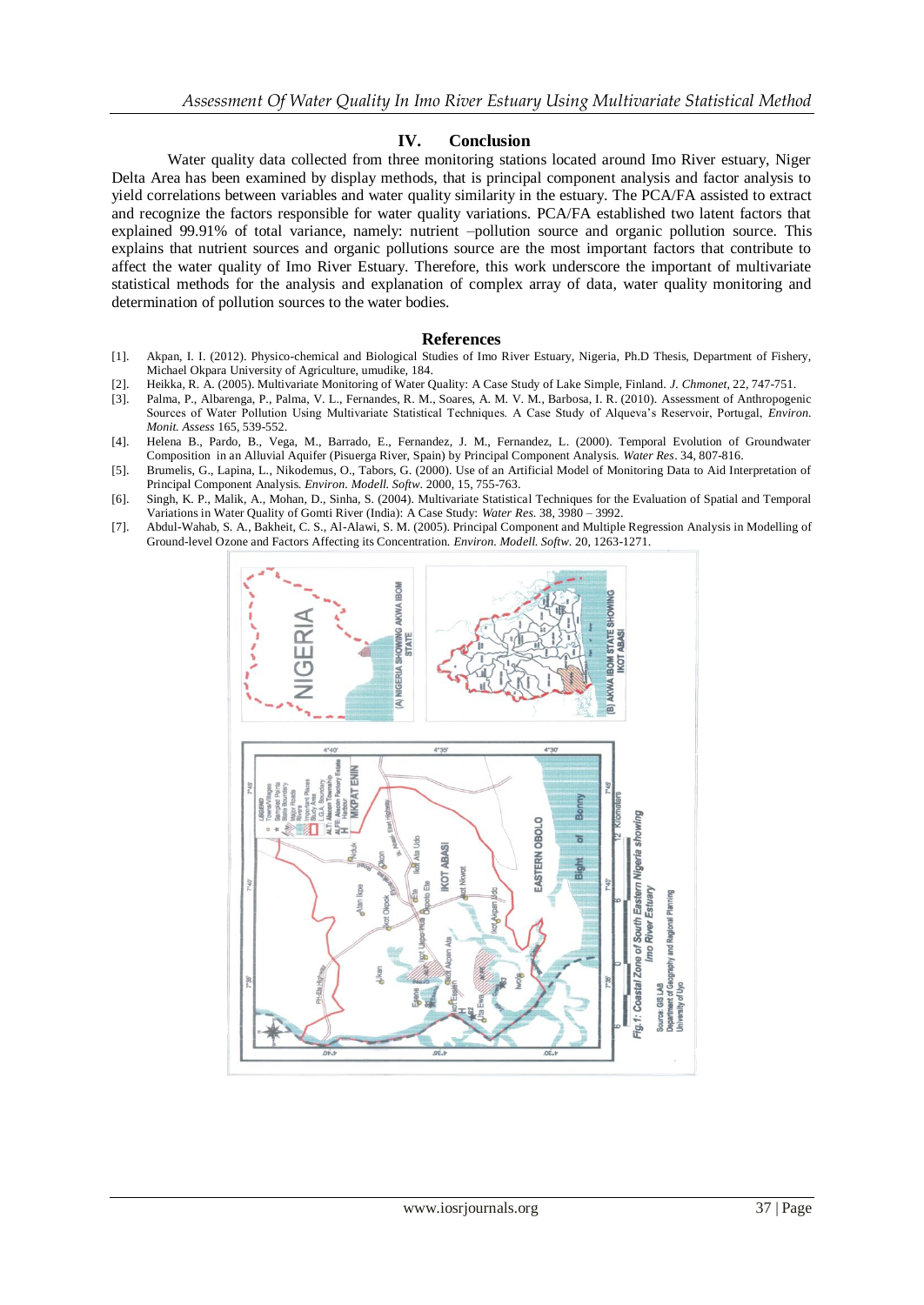#### **IV. Conclusion**

Water quality data collected from three monitoring stations located around Imo River estuary, Niger Delta Area has been examined by display methods, that is principal component analysis and factor analysis to yield correlations between variables and water quality similarity in the estuary. The PCA/FA assisted to extract and recognize the factors responsible for water quality variations. PCA/FA established two latent factors that explained 99.91% of total variance, namely: nutrient –pollution source and organic pollution source. This explains that nutrient sources and organic pollutions source are the most important factors that contribute to affect the water quality of Imo River Estuary. Therefore, this work underscore the important of multivariate statistical methods for the analysis and explanation of complex array of data, water quality monitoring and determination of pollution sources to the water bodies.

#### **References**

- [1]. Akpan, I. I. (2012). Physico-chemical and Biological Studies of Imo River Estuary, Nigeria, Ph.D Thesis, Department of Fishery, Michael Okpara University of Agriculture, umudike, 184.
- [2]. Heikka, R. A. (2005). Multivariate Monitoring of Water Quality: A Case Study of Lake Simple, Finland. *J. Chmonet*, 22, 747-751.
- [3]. Palma, P., Albarenga, P., Palma, V. L., Fernandes, R. M., Soares, A. M. V. M., Barbosa, I. R. (2010). Assessment of Anthropogenic Sources of Water Pollution Using Multivariate Statistical Techniques. A Case Study of Alqueva's Reservoir, Portugal, *Environ. Monit. Assess* 165, 539-552.
- [4]. Helena B., Pardo, B., Vega, M., Barrado, E., Fernandez, J. M., Fernandez, L. (2000). Temporal Evolution of Groundwater Composition in an Alluvial Aquifer (Pisuerga River, Spain) by Principal Component Analysis. *Water Res*. 34, 807-816.
- [5]. Brumelis, G., Lapina, L., Nikodemus, O., Tabors, G. (2000). Use of an Artificial Model of Monitoring Data to Aid Interpretation of Principal Component Analysis. *Environ. Modell. Softw*. 2000, 15, 755-763.
- [6]. Singh, K. P., Malik, A., Mohan, D., Sinha, S. (2004). Multivariate Statistical Techniques for the Evaluation of Spatial and Temporal Variations in Water Quality of Gomti River (India): A Case Study: *Water Res.* 38, 3980 – 3992.
- [7]. Abdul-Wahab, S. A., Bakheit, C. S., Al-Alawi, S. M. (2005). Principal Component and Multiple Regression Analysis in Modelling of Ground-level Ozone and Factors Affecting its Concentration. *Environ. Modell. Softw*. 20, 1263-1271.

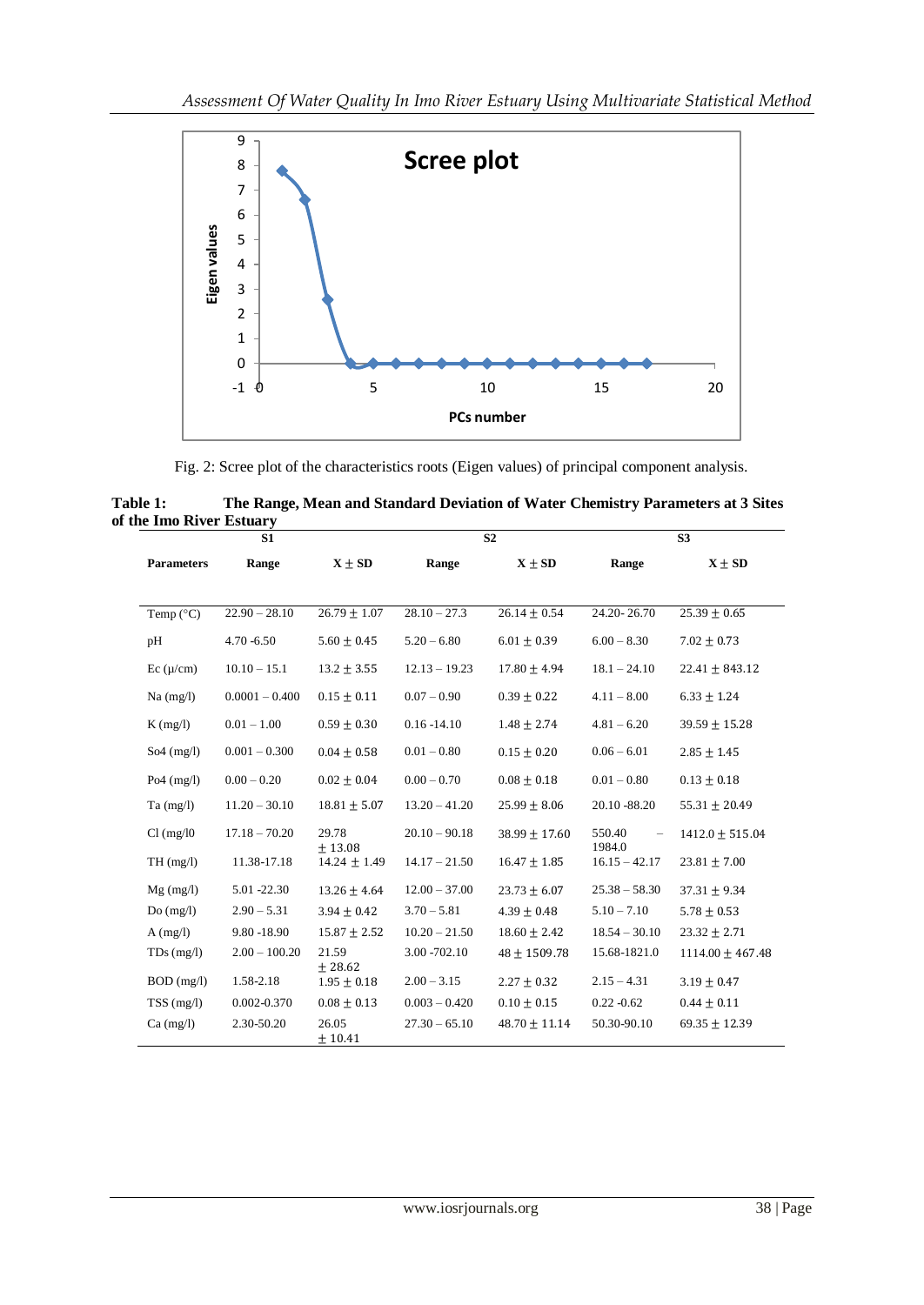

Fig. 2: Scree plot of the characteristics roots (Eigen values) of principal component analysis.

| Table 1:                 | The Range, Mean and Standard Deviation of Water Chemistry Parameters at 3 Sites |
|--------------------------|---------------------------------------------------------------------------------|
| of the Imo River Estuary |                                                                                 |

| S1                       |                  |                             |                 | S <sub>2</sub>    |                  | S <sub>3</sub>       |  |  |  |
|--------------------------|------------------|-----------------------------|-----------------|-------------------|------------------|----------------------|--|--|--|
| <b>Parameters</b>        | Range            | $X \pm SD$                  | Range           | $X \pm SD$        | Range            | $X \pm SD$           |  |  |  |
|                          |                  |                             |                 |                   |                  |                      |  |  |  |
| Temp $(^{\circ}C)$       | $22.90 - 28.10$  | $26.79 \pm 1.07$            | $28.10 - 27.3$  | $26.14 \pm 0.54$  | 24.20-26.70      | $25.39 \pm 0.65$     |  |  |  |
| pH                       | $4.70 - 6.50$    | $5.60 \pm 0.45$             | $5.20 - 6.80$   | $6.01 \pm 0.39$   | $6.00 - 8.30$    | $7.02 \pm 0.73$      |  |  |  |
| Ec (µ/cm)                | $10.10 - 15.1$   | $13.2 \pm 3.55$             | $12.13 - 19.23$ | $17.80 \pm 4.94$  | $18.1 - 24.10$   | $22.41 \pm 843.12$   |  |  |  |
| $Na$ (mg/l)              | $0.0001 - 0.400$ | $0.15 \pm 0.11$             | $0.07 - 0.90$   | $0.39 \pm 0.22$   | $4.11 - 8.00$    | $6.33 \pm 1.24$      |  |  |  |
| $K$ (mg/l)               | $0.01 - 1.00$    | $0.59 \pm 0.30$             | $0.16 - 14.10$  | $1.48 \pm 2.74$   | $4.81 - 6.20$    | $39.59 \pm 15.28$    |  |  |  |
| $So4 \, (mg/l)$          | $0.001 - 0.300$  | $0.04 \pm 0.58$             | $0.01 - 0.80$   | $0.15 \pm 0.20$   | $0.06 - 6.01$    | $2.85 \pm 1.45$      |  |  |  |
| Po <sub>4</sub> $(mg/l)$ | $0.00 - 0.20$    | $0.02 \pm 0.04$             | $0.00 - 0.70$   | $0.08 \pm 0.18$   | $0.01 - 0.80$    | $0.13 \pm 0.18$      |  |  |  |
| $Ta$ (mg/l)              | $11.20 - 30.10$  | $18.81 \pm 5.07$            | $13.20 - 41.20$ | $25.99 \pm 8.06$  | 20.10 - 88.20    | $55.31 \pm 20.49$    |  |  |  |
| Cl (mg/l0)               | $17.18 - 70.20$  | 29.78                       | $20.10 - 90.18$ | $38.99 \pm 17.60$ | 550.40<br>1984.0 | $1412.0 \pm 515.04$  |  |  |  |
| TH(mg/l)                 | 11.38-17.18      | ± 13.08<br>$14.24 \pm 1.49$ | $14.17 - 21.50$ | $16.47 \pm 1.85$  | $16.15 - 42.17$  | $23.81 \pm 7.00$     |  |  |  |
| $Mg$ (mg/l)              | 5.01 -22.30      | $13.26 \pm 4.64$            | $12.00 - 37.00$ | $23.73 + 6.07$    | $25.38 - 58.30$  | $37.31 \pm 9.34$     |  |  |  |
| Do(mg/l)                 | $2.90 - 5.31$    | $3.94 \pm 0.42$             | $3.70 - 5.81$   | $4.39 \pm 0.48$   | $5.10 - 7.10$    | $5.78 \pm 0.53$      |  |  |  |
| $A$ (mg/l)               | 9.80 -18.90      | $15.87 \pm 2.52$            | $10.20 - 21.50$ | $18.60 \pm 2.42$  | $18.54 - 30.10$  | $23.32 \pm 2.71$     |  |  |  |
| $TDs$ (mg/l)             | $2.00 - 100.20$  | 21.59<br>± 28.62            | 3.00 - 702.10   | $48 \pm 1509.78$  | 15.68-1821.0     | $1114.00 \pm 467.48$ |  |  |  |
| $BOD$ (mg/l)             | 1.58-2.18        | $1.95 \pm 0.18$             | $2.00 - 3.15$   | $2.27 \pm 0.32$   | $2.15 - 4.31$    | $3.19 \pm 0.47$      |  |  |  |
| TSS(mg/l)                | 0.002-0.370      | $0.08 \pm 0.13$             | $0.003 - 0.420$ | $0.10 \pm 0.15$   | $0.22 - 0.62$    | $0.44 \pm 0.11$      |  |  |  |
| $Ca \, (mg/l)$           | 2.30-50.20       | 26.05<br>± 10.41            | $27.30 - 65.10$ | $48.70 \pm 11.14$ | 50.30-90.10      | $69.35 \pm 12.39$    |  |  |  |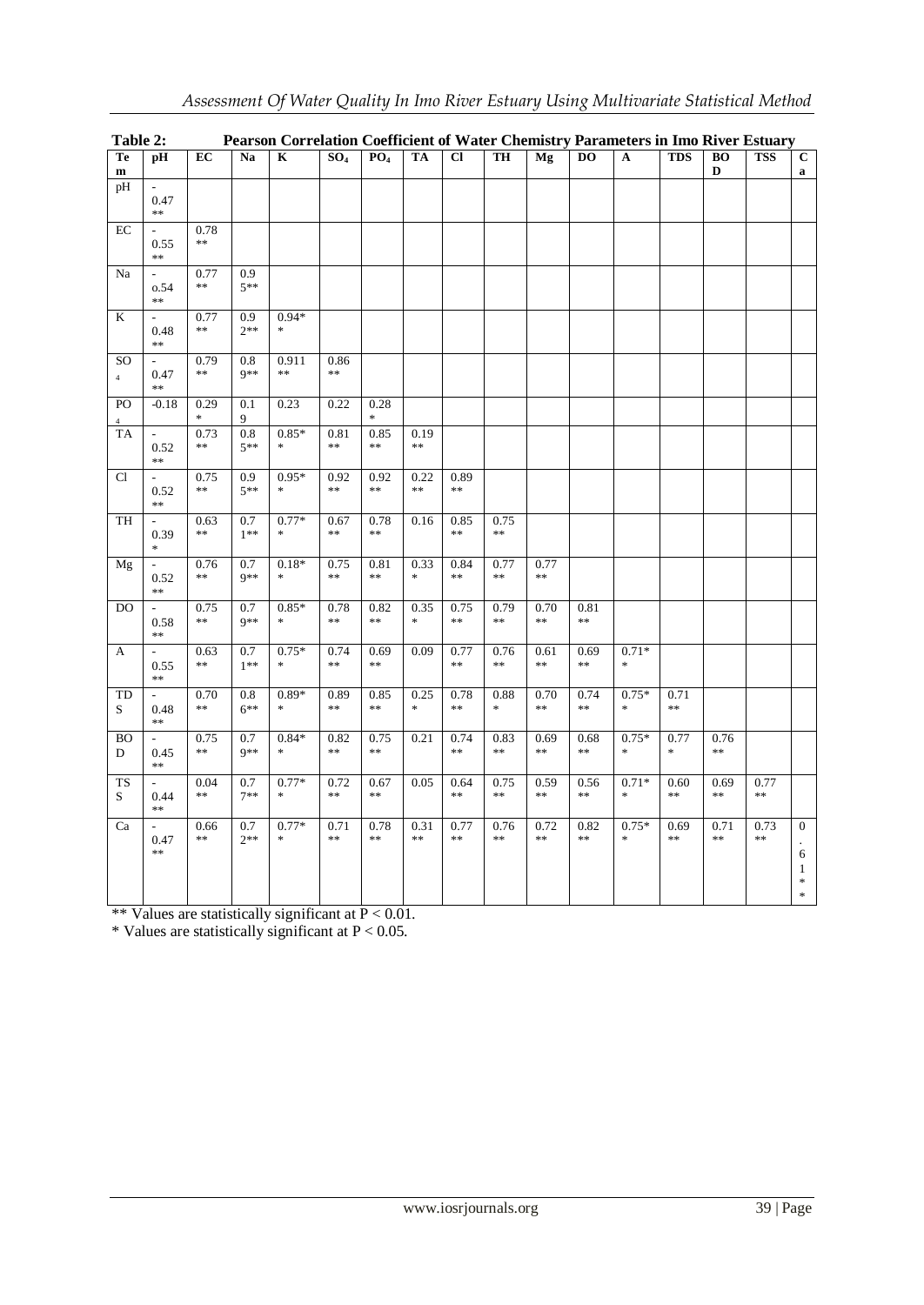| Table 2:                          |                                          |                                  |                 | Pearson Correlation Coefficient of Water Chemistry Parameters in Imo River Estuary |                    |                       |                       |                                          |                    |                                                                  |                    |                   |                        |                                |                                          |                                                                    |
|-----------------------------------|------------------------------------------|----------------------------------|-----------------|------------------------------------------------------------------------------------|--------------------|-----------------------|-----------------------|------------------------------------------|--------------------|------------------------------------------------------------------|--------------------|-------------------|------------------------|--------------------------------|------------------------------------------|--------------------------------------------------------------------|
| Te<br>${\bf m}$                   | pH                                       | EC                               | Na              | $\overline{\mathbf{K}}$                                                            | SO <sub>4</sub>    | PO <sub>4</sub>       | <b>TA</b>             | $\overline{c}$                           | TH                 | Mg                                                               | $\overline{DO}$    | $\mathbf{A}$      | <b>TDS</b>             | $\overline{BO}$<br>$\mathbf D$ | <b>TSS</b>                               | $\overline{C}$<br>$\mathbf a$                                      |
| pH                                | $\overline{\phantom{a}}$<br>0.47<br>$**$ |                                  |                 |                                                                                    |                    |                       |                       |                                          |                    |                                                                  |                    |                   |                        |                                |                                          |                                                                    |
| $\rm EC$                          | 0.55<br>$**$                             | 0.78<br>$\ast\ast$               |                 |                                                                                    |                    |                       |                       |                                          |                    |                                                                  |                    |                   |                        |                                |                                          |                                                                    |
| Na                                | $\overline{\phantom{a}}$<br>0.54<br>$**$ | 0.77<br>$\ast\ast$               | 0.9<br>$5**$    |                                                                                    |                    |                       |                       |                                          |                    |                                                                  |                    |                   |                        |                                |                                          |                                                                    |
| K                                 | 0.48<br>$**$                             | 0.77<br>$\ast\ast$               | 0.9<br>$2**$    | $0.94*$<br>$\frac{1}{2}$                                                           |                    |                       |                       |                                          |                    |                                                                  |                    |                   |                        |                                |                                          |                                                                    |
| SO <sub>1</sub><br>$\overline{4}$ | 0.47<br>$**$                             | 0.79<br>$\ast\ast$               | 0.8<br>$9**$    | 0.911<br>$\pm\pm$                                                                  | 0.86<br>$\ast\ast$ |                       |                       |                                          |                    |                                                                  |                    |                   |                        |                                |                                          |                                                                    |
| PO                                | $-0.18$                                  | 0.29<br>$\frac{d\mathbf{r}}{dt}$ | 0.1<br>9        | 0.23                                                                               | 0.22               | 0.28<br>$\ast$        |                       |                                          |                    |                                                                  |                    |                   |                        |                                |                                          |                                                                    |
| TA                                | $\overline{\phantom{a}}$<br>0.52<br>$**$ | 0.73<br>$\ast\ast$               | 0.8<br>$5^{**}$ | $0.85*$<br>$\frac{d\mathbf{r}}{d\mathbf{r}}$                                       | 0.81<br>$\ast$     | 0.85<br>$\ast$        | 0.19<br>$\ast$        |                                          |                    |                                                                  |                    |                   |                        |                                |                                          |                                                                    |
| Cl                                | $\overline{a}$<br>0.52<br>**             | 0.75<br>$\ast\ast$               | 0.9<br>$5**$    | $0.95*$<br>$\frac{d\mathbf{x}}{d\mathbf{x}}$                                       | 0.92<br>$\ast$     | 0.92<br>$\ast$        | 0.22<br>$\ast$        | 0.89<br>**                               |                    |                                                                  |                    |                   |                        |                                |                                          |                                                                    |
| TH                                | 0.39<br>$\ast$                           | 0.63<br>$\ast\ast$               | 0.7<br>$1**$    | $0.77*$<br>×.                                                                      | 0.67<br>$\ast$     | 0.78<br>$\ast\ast$    | 0.16                  | 0.85<br>$**$                             | 0.75<br>$\ast\ast$ |                                                                  |                    |                   |                        |                                |                                          |                                                                    |
| Mg                                | 0.52<br>$**$                             | 0.76<br>$\ast\ast$               | 0.7<br>$9**$    | $0.18*$<br>$\frac{1}{2}$                                                           | 0.75<br>$\ast\ast$ | 0.81<br>$\ast\ast$    | 0.33<br>$\mathbf{x}$  | 0.84<br>$\ast$                           | 0.77<br>$\ast\ast$ | 0.77<br>$\ast\ast$                                               |                    |                   |                        |                                |                                          |                                                                    |
| DO                                | $\overline{\phantom{a}}$<br>0.58<br>$**$ | 0.75<br>$\ast$                   | 0.7<br>$9**$    | $0.85*$<br>$\frac{d\mathbf{r}}{d\mathbf{r}}$                                       | 0.78<br>$\ast$     | 0.82<br>$\ast$        | 0.35<br>$\ast$        | 0.75<br>$\frac{1}{2}$                    | 0.79<br>$\ast$     | 0.70<br>$\ast\ast$                                               | 0.81<br>$\ast$     |                   |                        |                                |                                          |                                                                    |
| $\mathbf{A}$                      | 0.55<br>$**$                             | 0.63<br>$\ast\ast$               | 0.7<br>$1**$    | $0.75*$<br>$\frac{1}{2}$                                                           | 0.74<br>$\ast$     | 0.69<br>$\frac{1}{2}$ | 0.09                  | 0.77<br>$\ast\ast$                       | 0.76<br>$\ast\ast$ | 0.61<br>$\frac{1}{2} \mathcal{C} \times \frac{1}{2} \mathcal{C}$ | 0.69<br>$\ast\ast$ | $0.71*$<br>$\ast$ |                        |                                |                                          |                                                                    |
| TD<br>S                           | 0.48<br>$**$                             | 0.70<br>$\ast\ast$               | 0.8<br>$6***$   | $0.89*$<br>$\frac{1}{2}$                                                           | 0.89<br>$\ast\ast$ | 0.85<br>$\ast$        | 0.25<br>$\frac{1}{2}$ | 0.78<br>$\ast\ast$                       | 0.88<br>$\approx$  | 0.70<br>$\ast\ast$                                               | 0.74<br>$\ast\ast$ | $0.75*$<br>$\ast$ | 0.71<br>$\ast\ast$     |                                |                                          |                                                                    |
| <b>BO</b><br>D                    | 0.45<br>**                               | 0.75<br>$\ast\ast$               | 0.7<br>$9**$    | $0.84*$<br>$\frac{1}{2}$                                                           | 0.82<br>$\ast\ast$ | 0.75<br>$\ast$        | 0.21                  | 0.74<br>$\ast\ast$                       | 0.83<br>$\ast\ast$ | 0.69<br>$\ast\ast$                                               | 0.68<br>$\ast\ast$ | $0.75*$<br>$\ast$ | 0.77<br>$\frac{1}{25}$ | 0.76<br>$\ast\ast$             |                                          |                                                                    |
| <b>TS</b><br>S                    | 0.44<br>$**$                             | 0.04<br>$\ast\ast$               | 0.7<br>$7**$    | $0.77*$<br>×.                                                                      | 0.72<br>$\ast\ast$ | 0.67<br>$\ast$        | 0.05                  | 0.64<br>$\frac{1}{2} \mathcal{C} \neq 0$ | 0.75<br>$\ast\ast$ | 0.59<br>$\ast\ast$                                               | 0.56<br>$\ast\ast$ | $0.71*$<br>$\ast$ | 0.60<br>$\ast\ast$     | 0.69<br>$\ast\ast$             | 0.77<br>$\ast\ast$                       |                                                                    |
| Ca                                | 0.47<br>**                               | 0.66<br>$\ast\ast$               | 0.7<br>$2**$    | $0.77*$<br>$\frac{d\mathbf{x}}{d\mathbf{x}}$                                       | 0.71<br>$\ast$     | 0.78<br>$\ast$        | 0.31<br>$\ast$        | 0.77<br>$**$                             | 0.76<br>$\ast$     | 0.72<br>$\frac{1}{2} \mathcal{C} \neq 0$                         | 0.82<br>$\pm 1$    | $0.75*$<br>$\ast$ | 0.69<br>$\ast\ast$     | 0.71<br>$\ast$                 | 0.73<br>$\frac{1}{2} \mathcal{C} \neq 0$ | $\mathbf{0}$<br>6<br>$\mathbf{1}$<br>$\frac{d\mathbf{r}}{dt}$<br>* |

\*\* Values are statistically significant at  $P < 0.01$ .

\* Values are statistically significant at  $P < 0.05$ .